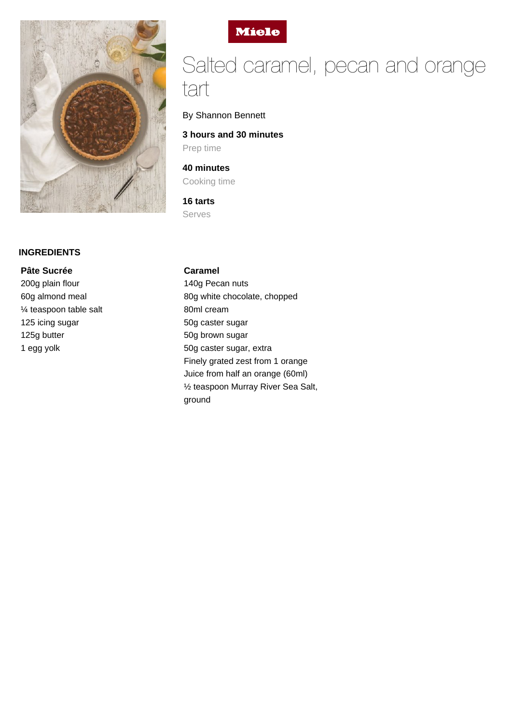

### **INGREDIENTS**

**Pâte Sucrée** 200g plain flour 60g almond meal ¼ teaspoon table salt 125 icing sugar 125g butter 1 egg yolk



# Salted caramel, pecan and orange tart

By Shannon Bennett

**3 hours and 30 minutes** Prep time

**40 minutes** Cooking time

**16 tarts** Serves

#### **Caramel**

140g Pecan nuts 80g white chocolate, chopped 80ml cream 50g caster sugar 50g brown sugar 50g caster sugar, extra Finely grated zest from 1 orange Juice from half an orange (60ml) ½ teaspoon Murray River Sea Salt, ground